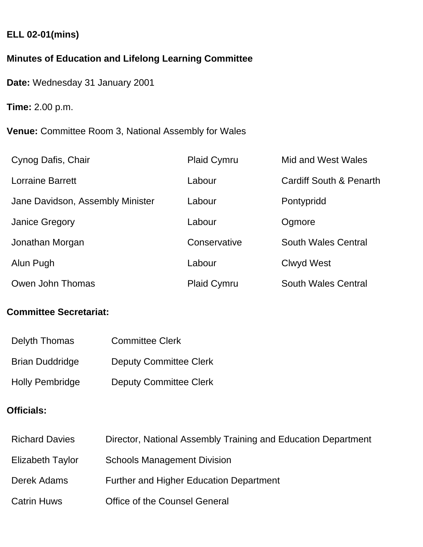### **ELL 02-01(mins)**

# **Minutes of Education and Lifelong Learning Committee**

**Date:** Wednesday 31 January 2001

**Time:** 2.00 p.m.

**Venue:** Committee Room 3, National Assembly for Wales

| Cynog Dafis, Chair               | <b>Plaid Cymru</b> | Mid and West Wales                 |
|----------------------------------|--------------------|------------------------------------|
| <b>Lorraine Barrett</b>          | Labour             | <b>Cardiff South &amp; Penarth</b> |
| Jane Davidson, Assembly Minister | Labour             | Pontypridd                         |
| <b>Janice Gregory</b>            | Labour             | Ogmore                             |
| Jonathan Morgan                  | Conservative       | South Wales Central                |
| Alun Pugh                        | Labour             | Clwyd West                         |
| Owen John Thomas                 | <b>Plaid Cymru</b> | <b>South Wales Central</b>         |

# **Committee Secretariat:**

| Delyth Thomas          | <b>Committee Clerk</b>        |
|------------------------|-------------------------------|
| <b>Brian Duddridge</b> | <b>Deputy Committee Clerk</b> |
| <b>Holly Pembridge</b> | <b>Deputy Committee Clerk</b> |

# **Officials:**

| <b>Richard Davies</b> | Director, National Assembly Training and Education Department |
|-----------------------|---------------------------------------------------------------|
| Elizabeth Taylor      | <b>Schools Management Division</b>                            |
| Derek Adams           | <b>Further and Higher Education Department</b>                |
| <b>Catrin Huws</b>    | <b>Office of the Counsel General</b>                          |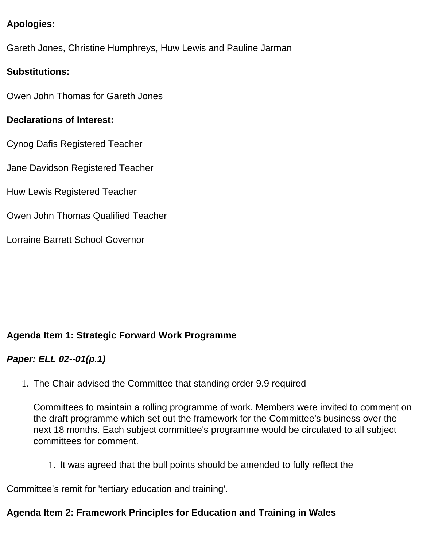### **Apologies:**

Gareth Jones, Christine Humphreys, Huw Lewis and Pauline Jarman

### **Substitutions:**

Owen John Thomas for Gareth Jones

#### **Declarations of Interest:**

Cynog Dafis Registered Teacher

Jane Davidson Registered Teacher

Huw Lewis Registered Teacher

Owen John Thomas Qualified Teacher

Lorraine Barrett School Governor

### **Agenda Item 1: Strategic Forward Work Programme**

#### *Paper: ELL 02--01(p.1)*

1. The Chair advised the Committee that standing order 9.9 required

Committees to maintain a rolling programme of work. Members were invited to comment on the draft programme which set out the framework for the Committee's business over the next 18 months. Each subject committee's programme would be circulated to all subject committees for comment.

1. It was agreed that the bull points should be amended to fully reflect the

Committee's remit for 'tertiary education and training'.

#### **Agenda Item 2: Framework Principles for Education and Training in Wales**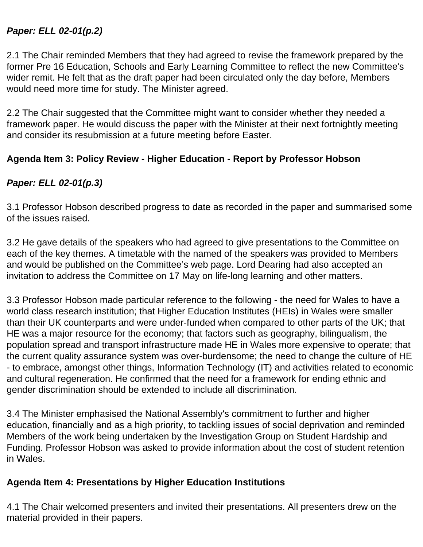### *Paper: ELL 02-01(p.2)*

2.1 The Chair reminded Members that they had agreed to revise the framework prepared by the former Pre 16 Education, Schools and Early Learning Committee to reflect the new Committee's wider remit. He felt that as the draft paper had been circulated only the day before, Members would need more time for study. The Minister agreed.

2.2 The Chair suggested that the Committee might want to consider whether they needed a framework paper. He would discuss the paper with the Minister at their next fortnightly meeting and consider its resubmission at a future meeting before Easter.

### **Agenda Item 3: Policy Review - Higher Education - Report by Professor Hobson**

### *Paper: ELL 02-01(p.3)*

3.1 Professor Hobson described progress to date as recorded in the paper and summarised some of the issues raised.

3.2 He gave details of the speakers who had agreed to give presentations to the Committee on each of the key themes. A timetable with the named of the speakers was provided to Members and would be published on the Committee's web page. Lord Dearing had also accepted an invitation to address the Committee on 17 May on life-long learning and other matters.

3.3 Professor Hobson made particular reference to the following - the need for Wales to have a world class research institution; that Higher Education Institutes (HEIs) in Wales were smaller than their UK counterparts and were under-funded when compared to other parts of the UK; that HE was a major resource for the economy; that factors such as geography, bilingualism, the population spread and transport infrastructure made HE in Wales more expensive to operate; that the current quality assurance system was over-burdensome; the need to change the culture of HE - to embrace, amongst other things, Information Technology (IT) and activities related to economic and cultural regeneration. He confirmed that the need for a framework for ending ethnic and gender discrimination should be extended to include all discrimination.

3.4 The Minister emphasised the National Assembly's commitment to further and higher education, financially and as a high priority, to tackling issues of social deprivation and reminded Members of the work being undertaken by the Investigation Group on Student Hardship and Funding. Professor Hobson was asked to provide information about the cost of student retention in Wales.

#### **Agenda Item 4: Presentations by Higher Education Institutions**

4.1 The Chair welcomed presenters and invited their presentations. All presenters drew on the material provided in their papers.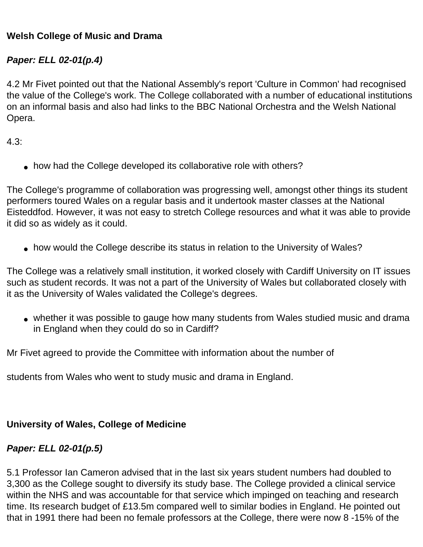#### **Welsh College of Music and Drama**

### *Paper: ELL 02-01(p.4)*

4.2 Mr Fivet pointed out that the National Assembly's report 'Culture in Common' had recognised the value of the College's work. The College collaborated with a number of educational institutions on an informal basis and also had links to the BBC National Orchestra and the Welsh National Opera.

4.3:

• how had the College developed its collaborative role with others?

The College's programme of collaboration was progressing well, amongst other things its student performers toured Wales on a regular basis and it undertook master classes at the National Eisteddfod. However, it was not easy to stretch College resources and what it was able to provide it did so as widely as it could.

• how would the College describe its status in relation to the University of Wales?

The College was a relatively small institution, it worked closely with Cardiff University on IT issues such as student records. It was not a part of the University of Wales but collaborated closely with it as the University of Wales validated the College's degrees.

• whether it was possible to gauge how many students from Wales studied music and drama in England when they could do so in Cardiff?

Mr Fivet agreed to provide the Committee with information about the number of

students from Wales who went to study music and drama in England.

#### **University of Wales, College of Medicine**

### *Paper: ELL 02-01(p.5)*

5.1 Professor Ian Cameron advised that in the last six years student numbers had doubled to 3,300 as the College sought to diversify its study base. The College provided a clinical service within the NHS and was accountable for that service which impinged on teaching and research time. Its research budget of £13.5m compared well to similar bodies in England. He pointed out that in 1991 there had been no female professors at the College, there were now 8 -15% of the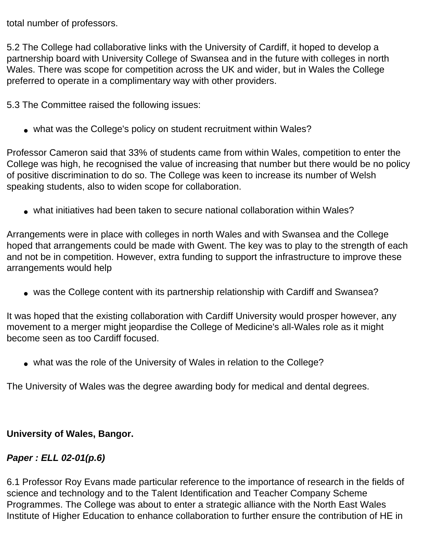total number of professors.

5.2 The College had collaborative links with the University of Cardiff, it hoped to develop a partnership board with University College of Swansea and in the future with colleges in north Wales. There was scope for competition across the UK and wider, but in Wales the College preferred to operate in a complimentary way with other providers.

5.3 The Committee raised the following issues:

• what was the College's policy on student recruitment within Wales?

Professor Cameron said that 33% of students came from within Wales, competition to enter the College was high, he recognised the value of increasing that number but there would be no policy of positive discrimination to do so. The College was keen to increase its number of Welsh speaking students, also to widen scope for collaboration.

• what initiatives had been taken to secure national collaboration within Wales?

Arrangements were in place with colleges in north Wales and with Swansea and the College hoped that arrangements could be made with Gwent. The key was to play to the strength of each and not be in competition. However, extra funding to support the infrastructure to improve these arrangements would help

• was the College content with its partnership relationship with Cardiff and Swansea?

It was hoped that the existing collaboration with Cardiff University would prosper however, any movement to a merger might jeopardise the College of Medicine's all-Wales role as it might become seen as too Cardiff focused.

• what was the role of the University of Wales in relation to the College?

The University of Wales was the degree awarding body for medical and dental degrees.

#### **University of Wales, Bangor.**

# *Paper : ELL 02-01(p.6)*

6.1 Professor Roy Evans made particular reference to the importance of research in the fields of science and technology and to the Talent Identification and Teacher Company Scheme Programmes. The College was about to enter a strategic alliance with the North East Wales Institute of Higher Education to enhance collaboration to further ensure the contribution of HE in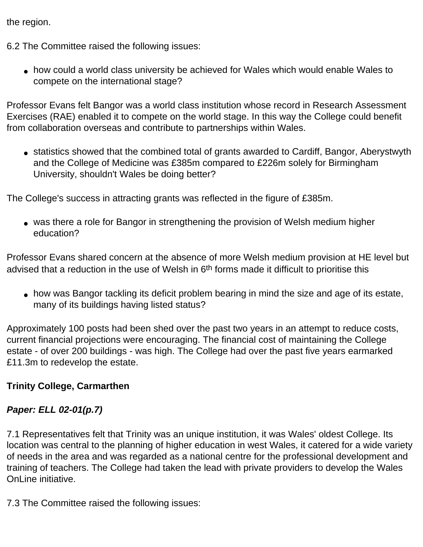the region.

6.2 The Committee raised the following issues:

• how could a world class university be achieved for Wales which would enable Wales to compete on the international stage?

Professor Evans felt Bangor was a world class institution whose record in Research Assessment Exercises (RAE) enabled it to compete on the world stage. In this way the College could benefit from collaboration overseas and contribute to partnerships within Wales.

• statistics showed that the combined total of grants awarded to Cardiff, Bangor, Aberystwyth and the College of Medicine was £385m compared to £226m solely for Birmingham University, shouldn't Wales be doing better?

The College's success in attracting grants was reflected in the figure of £385m.

• was there a role for Bangor in strengthening the provision of Welsh medium higher education?

Professor Evans shared concern at the absence of more Welsh medium provision at HE level but advised that a reduction in the use of Welsh in 6<sup>th</sup> forms made it difficult to prioritise this

• how was Bangor tackling its deficit problem bearing in mind the size and age of its estate, many of its buildings having listed status?

Approximately 100 posts had been shed over the past two years in an attempt to reduce costs, current financial projections were encouraging. The financial cost of maintaining the College estate - of over 200 buildings - was high. The College had over the past five years earmarked £11.3m to redevelop the estate.

#### **Trinity College, Carmarthen**

### *Paper: ELL 02-01(p.7)*

7.1 Representatives felt that Trinity was an unique institution, it was Wales' oldest College. Its location was central to the planning of higher education in west Wales, it catered for a wide variety of needs in the area and was regarded as a national centre for the professional development and training of teachers. The College had taken the lead with private providers to develop the Wales OnLine initiative.

7.3 The Committee raised the following issues: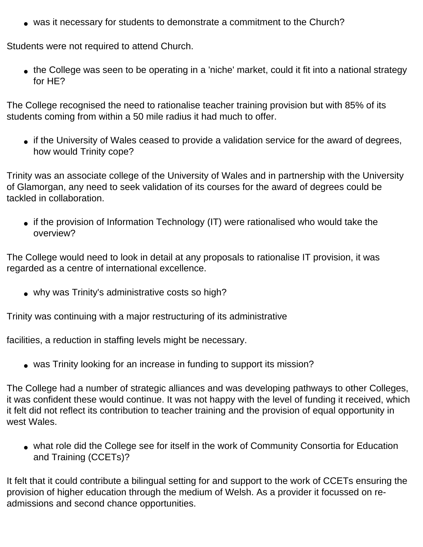• was it necessary for students to demonstrate a commitment to the Church?

Students were not required to attend Church.

• the College was seen to be operating in a 'niche' market, could it fit into a national strategy for HE?

The College recognised the need to rationalise teacher training provision but with 85% of its students coming from within a 50 mile radius it had much to offer.

• if the University of Wales ceased to provide a validation service for the award of degrees, how would Trinity cope?

Trinity was an associate college of the University of Wales and in partnership with the University of Glamorgan, any need to seek validation of its courses for the award of degrees could be tackled in collaboration.

• if the provision of Information Technology (IT) were rationalised who would take the overview?

The College would need to look in detail at any proposals to rationalise IT provision, it was regarded as a centre of international excellence.

• why was Trinity's administrative costs so high?

Trinity was continuing with a major restructuring of its administrative

facilities, a reduction in staffing levels might be necessary.

• was Trinity looking for an increase in funding to support its mission?

The College had a number of strategic alliances and was developing pathways to other Colleges, it was confident these would continue. It was not happy with the level of funding it received, which it felt did not reflect its contribution to teacher training and the provision of equal opportunity in west Wales.

• what role did the College see for itself in the work of Community Consortia for Education and Training (CCETs)?

It felt that it could contribute a bilingual setting for and support to the work of CCETs ensuring the provision of higher education through the medium of Welsh. As a provider it focussed on readmissions and second chance opportunities.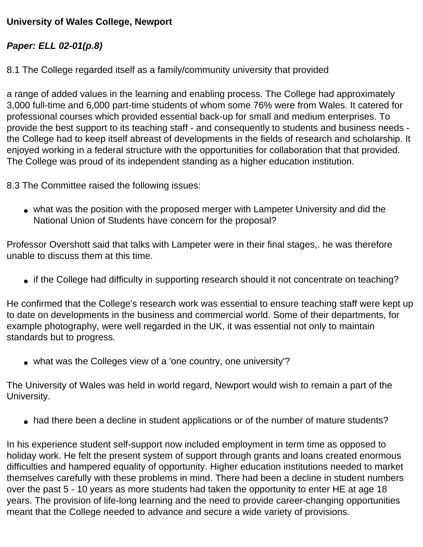### **University of Wales College, Newport**

#### *Paper: ELL 02-01(p.8)*

8.1 The College regarded itself as a family/community university that provided

a range of added values in the learning and enabling process. The College had approximately 3,000 full-time and 6,000 part-time students of whom some 76% were from Wales. It catered for professional courses which provided essential back-up for small and medium enterprises. To provide the best support to its teaching staff - and consequently to students and business needs the College had to keep itself abreast of developments in the fields of research and scholarship. It enjoyed working in a federal structure with the opportunities for collaboration that that provided. The College was proud of its independent standing as a higher education institution.

8.3 The Committee raised the following issues:

• what was the position with the proposed merger with Lampeter University and did the National Union of Students have concern for the proposal?

Professor Overshott said that talks with Lampeter were in their final stages,. he was therefore unable to discuss them at this time.

• if the College had difficulty in supporting research should it not concentrate on teaching?

He confirmed that the College's research work was essential to ensure teaching staff were kept up to date on developments in the business and commercial world. Some of their departments, for example photography, were well regarded in the UK, it was essential not only to maintain standards but to progress.

• what was the Colleges view of a 'one country, one university'?

The University of Wales was held in world regard, Newport would wish to remain a part of the University.

• had there been a decline in student applications or of the number of mature students?

In his experience student self-support now included employment in term time as opposed to holiday work. He felt the present system of support through grants and loans created enormous difficulties and hampered equality of opportunity. Higher education institutions needed to market themselves carefully with these problems in mind. There had been a decline in student numbers over the past 5 - 10 years as more students had taken the opportunity to enter HE at age 18 years. The provision of life-long learning and the need to provide career-changing opportunities meant that the College needed to advance and secure a wide variety of provisions.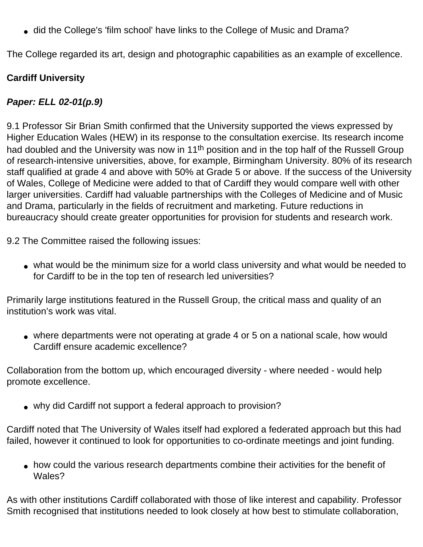• did the College's 'film school' have links to the College of Music and Drama?

The College regarded its art, design and photographic capabilities as an example of excellence.

## **Cardiff University**

## *Paper: ELL 02-01(p.9)*

9.1 Professor Sir Brian Smith confirmed that the University supported the views expressed by Higher Education Wales (HEW) in its response to the consultation exercise. Its research income had doubled and the University was now in 11<sup>th</sup> position and in the top half of the Russell Group of research-intensive universities, above, for example, Birmingham University. 80% of its research staff qualified at grade 4 and above with 50% at Grade 5 or above. If the success of the University of Wales, College of Medicine were added to that of Cardiff they would compare well with other larger universities. Cardiff had valuable partnerships with the Colleges of Medicine and of Music and Drama, particularly in the fields of recruitment and marketing. Future reductions in bureaucracy should create greater opportunities for provision for students and research work.

9.2 The Committee raised the following issues:

• what would be the minimum size for a world class university and what would be needed to for Cardiff to be in the top ten of research led universities?

Primarily large institutions featured in the Russell Group, the critical mass and quality of an institution's work was vital.

• where departments were not operating at grade 4 or 5 on a national scale, how would Cardiff ensure academic excellence?

Collaboration from the bottom up, which encouraged diversity - where needed - would help promote excellence.

• why did Cardiff not support a federal approach to provision?

Cardiff noted that The University of Wales itself had explored a federated approach but this had failed, however it continued to look for opportunities to co-ordinate meetings and joint funding.

• how could the various research departments combine their activities for the benefit of Wales?

As with other institutions Cardiff collaborated with those of like interest and capability. Professor Smith recognised that institutions needed to look closely at how best to stimulate collaboration,